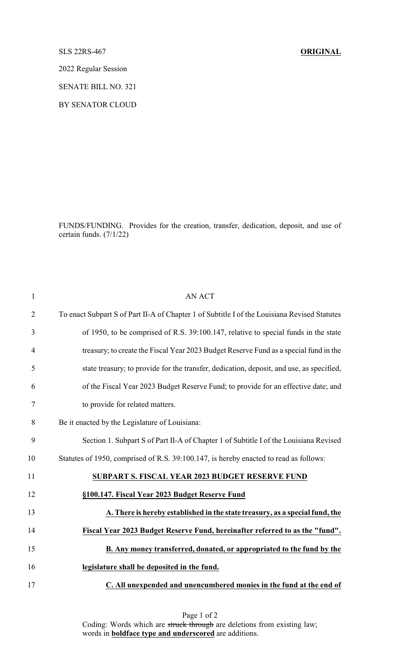## SLS 22RS-467 **ORIGINAL**

2022 Regular Session

SENATE BILL NO. 321

BY SENATOR CLOUD

FUNDS/FUNDING. Provides for the creation, transfer, dedication, deposit, and use of certain funds. (7/1/22)

| $\mathbf{1}$   | <b>AN ACT</b>                                                                                |
|----------------|----------------------------------------------------------------------------------------------|
| $\overline{2}$ | To enact Subpart S of Part II-A of Chapter 1 of Subtitle I of the Louisiana Revised Statutes |
| 3              | of 1950, to be comprised of R.S. 39:100.147, relative to special funds in the state          |
| $\overline{4}$ | treasury; to create the Fiscal Year 2023 Budget Reserve Fund as a special fund in the        |
| 5              | state treasury; to provide for the transfer, dedication, deposit, and use, as specified,     |
| 6              | of the Fiscal Year 2023 Budget Reserve Fund; to provide for an effective date; and           |
| 7              | to provide for related matters.                                                              |
| 8              | Be it enacted by the Legislature of Louisiana:                                               |
| 9              | Section 1. Subpart S of Part II-A of Chapter 1 of Subtitle I of the Louisiana Revised        |
| 10             | Statutes of 1950, comprised of R.S. 39:100.147, is hereby enacted to read as follows:        |
| 11             | SUBPART S. FISCAL YEAR 2023 BUDGET RESERVE FUND                                              |
| 12             | §100.147. Fiscal Year 2023 Budget Reserve Fund                                               |
| 13             | A. There is hereby established in the state treasury, as a special fund, the                 |
| 14             | Fiscal Year 2023 Budget Reserve Fund, hereinafter referred to as the "fund".                 |
| 15             | B. Any money transferred, donated, or appropriated to the fund by the                        |
| 16             | legislature shall be deposited in the fund.                                                  |
| 17             | C. All unexpended and unencumbered monies in the fund at the end of                          |

Page 1 of 2 Coding: Words which are struck through are deletions from existing law; words in **boldface type and underscored** are additions.